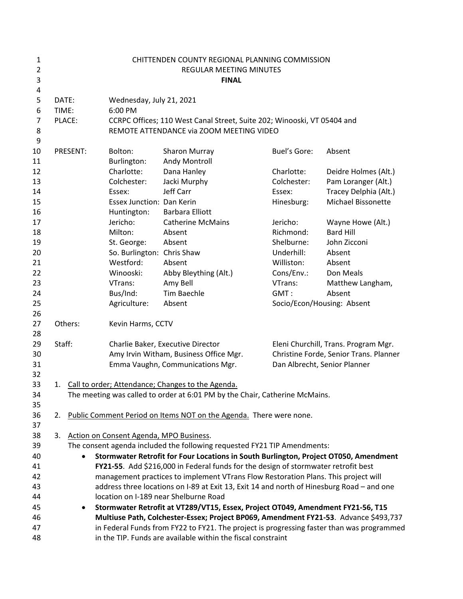| $\mathbf{1}$<br>$\overline{2}$<br>3<br>4 |                                                                                                                                                                                 | CHITTENDEN COUNTY REGIONAL PLANNING COMMISSION<br>REGULAR MEETING MINUTES<br><b>FINAL</b> |                                                                                                                     |                                                                                           |                                                                                |                       |  |
|------------------------------------------|---------------------------------------------------------------------------------------------------------------------------------------------------------------------------------|-------------------------------------------------------------------------------------------|---------------------------------------------------------------------------------------------------------------------|-------------------------------------------------------------------------------------------|--------------------------------------------------------------------------------|-----------------------|--|
| 5<br>6                                   | DATE:<br>TIME:                                                                                                                                                                  |                                                                                           | Wednesday, July 21, 2021<br>6:00 PM                                                                                 |                                                                                           |                                                                                |                       |  |
| $\overline{7}$<br>8<br>9                 |                                                                                                                                                                                 | PLACE:                                                                                    | CCRPC Offices; 110 West Canal Street, Suite 202; Winooski, VT 05404 and<br>REMOTE ATTENDANCE via ZOOM MEETING VIDEO |                                                                                           |                                                                                |                       |  |
| 10<br>11                                 |                                                                                                                                                                                 | PRESENT:                                                                                  | Bolton:<br>Burlington:                                                                                              | <b>Sharon Murray</b><br><b>Andy Montroll</b>                                              | Buel's Gore:                                                                   | Absent                |  |
| 12                                       |                                                                                                                                                                                 |                                                                                           | Charlotte:                                                                                                          | Dana Hanley                                                                               | Charlotte:                                                                     | Deidre Holmes (Alt.)  |  |
| 13                                       |                                                                                                                                                                                 |                                                                                           | Colchester:                                                                                                         | Jacki Murphy                                                                              | Colchester:                                                                    | Pam Loranger (Alt.)   |  |
| 14                                       |                                                                                                                                                                                 |                                                                                           | Essex:                                                                                                              | Jeff Carr                                                                                 | Essex:                                                                         | Tracey Delphia (Alt.) |  |
| 15                                       |                                                                                                                                                                                 |                                                                                           | Essex Junction: Dan Kerin                                                                                           |                                                                                           | Hinesburg:                                                                     | Michael Bissonette    |  |
| 16                                       |                                                                                                                                                                                 |                                                                                           | Huntington:                                                                                                         | <b>Barbara Elliott</b>                                                                    |                                                                                |                       |  |
| 17                                       |                                                                                                                                                                                 |                                                                                           | Jericho:                                                                                                            | <b>Catherine McMains</b>                                                                  | Jericho:                                                                       | Wayne Howe (Alt.)     |  |
| 18                                       |                                                                                                                                                                                 |                                                                                           | Milton:                                                                                                             | Absent                                                                                    | Richmond:                                                                      | <b>Bard Hill</b>      |  |
| 19                                       |                                                                                                                                                                                 |                                                                                           | St. George:                                                                                                         | Absent                                                                                    | Shelburne:                                                                     | John Zicconi          |  |
| 20                                       |                                                                                                                                                                                 |                                                                                           | So. Burlington: Chris Shaw                                                                                          |                                                                                           | Underhill:                                                                     | Absent                |  |
| 21                                       |                                                                                                                                                                                 |                                                                                           | Westford:                                                                                                           | Absent                                                                                    | Williston:                                                                     | Absent                |  |
| 22                                       |                                                                                                                                                                                 |                                                                                           | Winooski:                                                                                                           | Abby Bleything (Alt.)                                                                     | Cons/Env.:                                                                     | Don Meals             |  |
| 23                                       |                                                                                                                                                                                 |                                                                                           | VTrans:                                                                                                             | Amy Bell                                                                                  | VTrans:                                                                        | Matthew Langham,      |  |
| 24                                       |                                                                                                                                                                                 |                                                                                           | Bus/Ind:                                                                                                            | <b>Tim Baechle</b>                                                                        | GMT:                                                                           | Absent                |  |
| 25                                       |                                                                                                                                                                                 |                                                                                           | Agriculture:                                                                                                        | Absent                                                                                    | Socio/Econ/Housing: Absent                                                     |                       |  |
| 26                                       |                                                                                                                                                                                 |                                                                                           |                                                                                                                     |                                                                                           |                                                                                |                       |  |
| 27                                       |                                                                                                                                                                                 | Others:                                                                                   | Kevin Harms, CCTV                                                                                                   |                                                                                           |                                                                                |                       |  |
| 28<br>29                                 | Staff:                                                                                                                                                                          |                                                                                           |                                                                                                                     |                                                                                           |                                                                                |                       |  |
| 30                                       |                                                                                                                                                                                 |                                                                                           | Charlie Baker, Executive Director<br>Amy Irvin Witham, Business Office Mgr.                                         |                                                                                           | Eleni Churchill, Trans. Program Mgr.<br>Christine Forde, Senior Trans. Planner |                       |  |
| 31                                       |                                                                                                                                                                                 |                                                                                           |                                                                                                                     | Emma Vaughn, Communications Mgr.                                                          | Dan Albrecht, Senior Planner                                                   |                       |  |
| 32                                       |                                                                                                                                                                                 |                                                                                           |                                                                                                                     |                                                                                           |                                                                                |                       |  |
| 33                                       | 1.                                                                                                                                                                              |                                                                                           |                                                                                                                     | Call to order; Attendance; Changes to the Agenda.                                         |                                                                                |                       |  |
| 34                                       |                                                                                                                                                                                 |                                                                                           |                                                                                                                     | The meeting was called to order at 6:01 PM by the Chair, Catherine McMains.               |                                                                                |                       |  |
| 35                                       |                                                                                                                                                                                 |                                                                                           |                                                                                                                     |                                                                                           |                                                                                |                       |  |
| 36                                       | 2.                                                                                                                                                                              |                                                                                           |                                                                                                                     | Public Comment Period on Items NOT on the Agenda. There were none.                        |                                                                                |                       |  |
| 37                                       |                                                                                                                                                                                 |                                                                                           |                                                                                                                     |                                                                                           |                                                                                |                       |  |
| 38                                       | 3.                                                                                                                                                                              |                                                                                           | Action on Consent Agenda, MPO Business.                                                                             |                                                                                           |                                                                                |                       |  |
| 39                                       | The consent agenda included the following requested FY21 TIP Amendments:                                                                                                        |                                                                                           |                                                                                                                     |                                                                                           |                                                                                |                       |  |
| 40                                       | Stormwater Retrofit for Four Locations in South Burlington, Project OT050, Amendment<br>$\bullet$                                                                               |                                                                                           |                                                                                                                     |                                                                                           |                                                                                |                       |  |
| 41                                       | FY21-55. Add \$216,000 in Federal funds for the design of stormwater retrofit best                                                                                              |                                                                                           |                                                                                                                     |                                                                                           |                                                                                |                       |  |
| 42                                       | management practices to implement VTrans Flow Restoration Plans. This project will<br>address three locations on I-89 at Exit 13, Exit 14 and north of Hinesburg Road - and one |                                                                                           |                                                                                                                     |                                                                                           |                                                                                |                       |  |
| 43                                       |                                                                                                                                                                                 |                                                                                           |                                                                                                                     |                                                                                           |                                                                                |                       |  |
| 44                                       |                                                                                                                                                                                 |                                                                                           |                                                                                                                     | location on I-189 near Shelburne Road                                                     |                                                                                |                       |  |
| 45                                       |                                                                                                                                                                                 | ٠                                                                                         |                                                                                                                     | Stormwater Retrofit at VT289/VT15, Essex, Project OT049, Amendment FY21-56, T15           |                                                                                |                       |  |
| 46                                       |                                                                                                                                                                                 |                                                                                           |                                                                                                                     | Multiuse Path, Colchester-Essex; Project BP069, Amendment FY21-53. Advance \$493,737      |                                                                                |                       |  |
| 47                                       |                                                                                                                                                                                 |                                                                                           |                                                                                                                     | in Federal Funds from FY22 to FY21. The project is progressing faster than was programmed |                                                                                |                       |  |
| 48                                       |                                                                                                                                                                                 |                                                                                           |                                                                                                                     | in the TIP. Funds are available within the fiscal constraint                              |                                                                                |                       |  |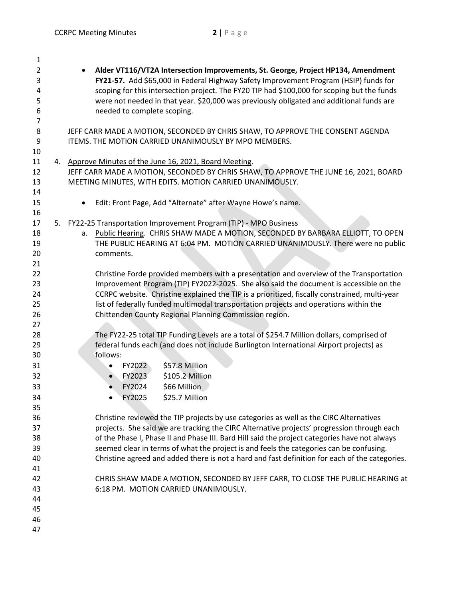| 1              |                                                                                                |
|----------------|------------------------------------------------------------------------------------------------|
| 2              | Alder VT116/VT2A Intersection Improvements, St. George, Project HP134, Amendment               |
| 3              | FY21-57. Add \$65,000 in Federal Highway Safety Improvement Program (HSIP) funds for           |
| 4              | scoping for this intersection project. The FY20 TIP had \$100,000 for scoping but the funds    |
| 5              | were not needed in that year. \$20,000 was previously obligated and additional funds are       |
| 6              | needed to complete scoping.                                                                    |
| $\overline{7}$ |                                                                                                |
| 8              | JEFF CARR MADE A MOTION, SECONDED BY CHRIS SHAW, TO APPROVE THE CONSENT AGENDA                 |
| 9              | ITEMS. THE MOTION CARRIED UNANIMOUSLY BY MPO MEMBERS.                                          |
| 10             |                                                                                                |
| 11             | 4. Approve Minutes of the June 16, 2021, Board Meeting.                                        |
| 12             | JEFF CARR MADE A MOTION, SECONDED BY CHRIS SHAW, TO APPROVE THE JUNE 16, 2021, BOARD           |
| 13             | MEETING MINUTES, WITH EDITS. MOTION CARRIED UNANIMOUSLY.                                       |
| 14             |                                                                                                |
| 15             | Edit: Front Page, Add "Alternate" after Wayne Howe's name.<br>$\bullet$                        |
| 16             |                                                                                                |
| 17             | 5. FY22-25 Transportation Improvement Program (TIP) - MPO Business                             |
| 18             | Public Hearing. CHRIS SHAW MADE A MOTION, SECONDED BY BARBARA ELLIOTT, TO OPEN<br>a.           |
| 19             | THE PUBLIC HEARING AT 6:04 PM. MOTION CARRIED UNANIMOUSLY. There were no public                |
| 20             | comments.                                                                                      |
| 21             |                                                                                                |
| 22             | Christine Forde provided members with a presentation and overview of the Transportation        |
| 23             | Improvement Program (TIP) FY2022-2025. She also said the document is accessible on the         |
| 24             | CCRPC website. Christine explained the TIP is a prioritized, fiscally constrained, multi-year  |
| 25             | list of federally funded multimodal transportation projects and operations within the          |
| 26             | Chittenden County Regional Planning Commission region.                                         |
| 27             |                                                                                                |
| 28             | The FY22-25 total TIP Funding Levels are a total of \$254.7 Million dollars, comprised of      |
| 29             | federal funds each (and does not include Burlington International Airport projects) as         |
| 30             | follows:                                                                                       |
| 31             | \$57.8 Million<br>FY2022<br>٠                                                                  |
| 32             | \$105.2 Million<br>FY2023<br>$\bullet$                                                         |
| 33             | \$66 Million<br>FY2024                                                                         |
| 34             | \$25.7 Million<br><b>FY2025</b>                                                                |
| 35             |                                                                                                |
| 36             | Christine reviewed the TIP projects by use categories as well as the CIRC Alternatives         |
| 37             | projects. She said we are tracking the CIRC Alternative projects' progression through each     |
| 38             | of the Phase I, Phase II and Phase III. Bard Hill said the project categories have not always  |
| 39             | seemed clear in terms of what the project is and feels the categories can be confusing.        |
| 40             | Christine agreed and added there is not a hard and fast definition for each of the categories. |
| 41             |                                                                                                |
| 42             | CHRIS SHAW MADE A MOTION, SECONDED BY JEFF CARR, TO CLOSE THE PUBLIC HEARING at                |
| 43             | 6:18 PM. MOTION CARRIED UNANIMOUSLY.                                                           |
| 44             |                                                                                                |
| 45             |                                                                                                |
| 46             |                                                                                                |
| 47             |                                                                                                |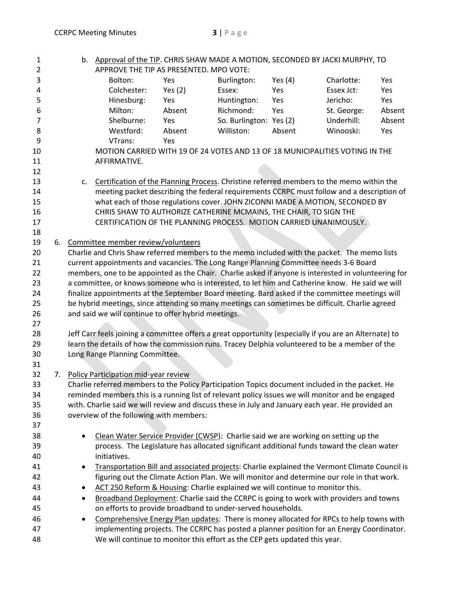| $\mathbf{1}$   |    | b. |                                                     |           | Approval of the TIP. CHRIS SHAW MADE A MOTION, SECONDED BY JACKI MURPHY, TO                            |           |             |        |
|----------------|----|----|-----------------------------------------------------|-----------|--------------------------------------------------------------------------------------------------------|-----------|-------------|--------|
| $\overline{2}$ |    |    | APPROVE THE TIP AS PRESENTED. MPO VOTE:             |           |                                                                                                        |           |             |        |
| 3              |    |    | Bolton:                                             | Yes       | Burlington:                                                                                            | Yes $(4)$ | Charlotte:  | Yes    |
| 4              |    |    | Colchester:                                         | Yes $(2)$ | Essex:                                                                                                 | Yes       | Essex Jct:  | Yes    |
| 5              |    |    | Hinesburg:                                          | Yes       | Huntington:                                                                                            | Yes       | Jericho:    | Yes    |
| 6              |    |    | Milton:                                             | Absent    | Richmond:                                                                                              | Yes       | St. George: | Absent |
| 7              |    |    | Shelburne:                                          | Yes       | So. Burlington: Yes (2)                                                                                |           | Underhill:  | Absent |
| 8              |    |    | Westford:                                           | Absent    | Williston:                                                                                             | Absent    | Winooski:   | Yes    |
| 9              |    |    | VTrans:                                             | Yes       |                                                                                                        |           |             |        |
| 10             |    |    |                                                     |           | MOTION CARRIED WITH 19 OF 24 VOTES AND 13 OF 18 MUNICIPALITIES VOTING IN THE                           |           |             |        |
| 11             |    |    | AFFIRMATIVE.                                        |           |                                                                                                        |           |             |        |
| 12             |    |    |                                                     |           |                                                                                                        |           |             |        |
|                |    |    |                                                     |           |                                                                                                        |           |             |        |
| 13             |    | c. |                                                     |           | Certification of the Planning Process. Christine referred members to the memo within the               |           |             |        |
| 14             |    |    |                                                     |           | meeting packet describing the federal requirements CCRPC must follow and a description of              |           |             |        |
| 15             |    |    |                                                     |           | what each of those regulations cover. JOHN ZICONNI MADE A MOTION, SECONDED BY                          |           |             |        |
| 16             |    |    |                                                     |           | CHRIS SHAW TO AUTHORIZE CATHERINE MCMAINS, THE CHAIR, TO SIGN THE                                      |           |             |        |
| 17             |    |    |                                                     |           | CERTIFICATION OF THE PLANNING PROCESS. MOTION CARRIED UNANIMOUSLY.                                     |           |             |        |
| 18             |    |    |                                                     |           |                                                                                                        |           |             |        |
| 19             | 6. |    | Committee member review/volunteers                  |           |                                                                                                        |           |             |        |
| 20             |    |    |                                                     |           | Charlie and Chris Shaw referred members to the memo included with the packet. The memo lists           |           |             |        |
| 21             |    |    |                                                     |           | current appointments and vacancies. The Long Range Planning Committee needs 3-6 Board                  |           |             |        |
| 22             |    |    |                                                     |           | members, one to be appointed as the Chair. Charlie asked if anyone is interested in volunteering for   |           |             |        |
| 23             |    |    |                                                     |           | a committee, or knows someone who is interested, to let him and Catherine know. He said we will        |           |             |        |
| 24             |    |    |                                                     |           | finalize appointments at the September Board meeting. Bard asked if the committee meetings will        |           |             |        |
| 25             |    |    |                                                     |           | be hybrid meetings, since attending so many meetings can sometimes be difficult. Charlie agreed        |           |             |        |
| 26             |    |    | and said we will continue to offer hybrid meetings. |           |                                                                                                        |           |             |        |
| 27             |    |    |                                                     |           |                                                                                                        |           |             |        |
| 28             |    |    |                                                     |           | Jeff Carr feels joining a committee offers a great opportunity (especially if you are an Alternate) to |           |             |        |
| 29             |    |    |                                                     |           | learn the details of how the commission runs. Tracey Delphia volunteered to be a member of the         |           |             |        |
| 30             |    |    | Long Range Planning Committee.                      |           |                                                                                                        |           |             |        |
| 31             |    |    |                                                     |           |                                                                                                        |           |             |        |
| 32             | 7. |    | Policy Participation mid-year review                |           |                                                                                                        |           |             |        |
| 33             |    |    |                                                     |           | Charlie referred members to the Policy Participation Topics document included in the packet. He        |           |             |        |
| 34             |    |    |                                                     |           | reminded members this is a running list of relevant policy issues we will monitor and be engaged       |           |             |        |
| 35             |    |    |                                                     |           | with. Charlie said we will review and discuss these in July and January each year. He provided an      |           |             |        |
| 36             |    |    | overview of the following with members:             |           |                                                                                                        |           |             |        |
| 37             |    |    |                                                     |           |                                                                                                        |           |             |        |
|                |    |    |                                                     |           |                                                                                                        |           |             |        |
| 38             |    |    |                                                     |           | Clean Water Service Provider (CWSP): Charlie said we are working on setting up the                     |           |             |        |
| 39             |    |    |                                                     |           | process. The Legislature has allocated significant additional funds toward the clean water             |           |             |        |
| 40             |    |    | initiatives.                                        |           |                                                                                                        |           |             |        |
| 41             |    | ٠  |                                                     |           | Transportation Bill and associated projects: Charlie explained the Vermont Climate Council is          |           |             |        |
| 42             |    |    |                                                     |           | figuring out the Climate Action Plan. We will monitor and determine our role in that work.             |           |             |        |
| 43             |    |    |                                                     |           | ACT 250 Reform & Housing: Charlie explained we will continue to monitor this.                          |           |             |        |
| 44             |    | ٠  |                                                     |           | Broadband Deployment: Charlie said the CCRPC is going to work with providers and towns                 |           |             |        |
| 45             |    |    |                                                     |           | on efforts to provide broadband to under-served households.                                            |           |             |        |
| 46             |    | ٠  |                                                     |           | Comprehensive Energy Plan updates: There is money allocated for RPCs to help towns with                |           |             |        |
| 47             |    |    |                                                     |           | implementing projects. The CCRPC has posted a planner position for an Energy Coordinator.              |           |             |        |
| 48             |    |    |                                                     |           | We will continue to monitor this effort as the CEP gets updated this year.                             |           |             |        |
|                |    |    |                                                     |           |                                                                                                        |           |             |        |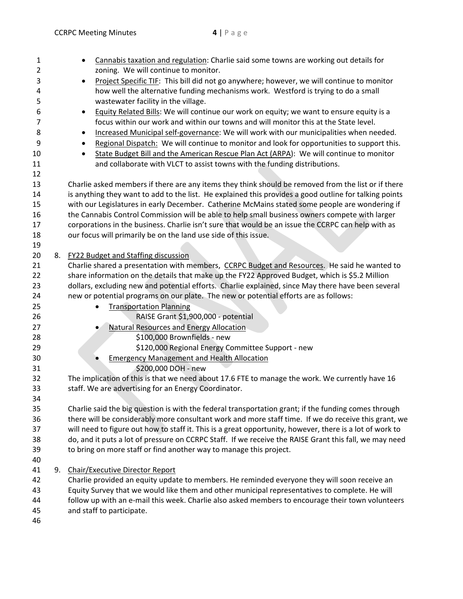| 1              |    | Cannabis taxation and regulation: Charlie said some towns are working out details for                    |
|----------------|----|----------------------------------------------------------------------------------------------------------|
| 2              |    | zoning. We will continue to monitor.                                                                     |
| 3              |    | Project Specific TIF: This bill did not go anywhere; however, we will continue to monitor<br>٠           |
| 4              |    | how well the alternative funding mechanisms work. Westford is trying to do a small                       |
| 5              |    | wastewater facility in the village.                                                                      |
| 6              |    | Equity Related Bills: We will continue our work on equity; we want to ensure equity is a<br>$\bullet$    |
| $\overline{7}$ |    | focus within our work and within our towns and will monitor this at the State level.                     |
| 8              |    | Increased Municipal self-governance: We will work with our municipalities when needed.<br>$\bullet$      |
| 9              |    | Regional Dispatch: We will continue to monitor and look for opportunities to support this.<br>$\bullet$  |
| 10             |    | State Budget Bill and the American Rescue Plan Act (ARPA): We will continue to monitor<br>$\bullet$      |
| 11             |    | and collaborate with VLCT to assist towns with the funding distributions.                                |
| 12             |    |                                                                                                          |
| 13             |    | Charlie asked members if there are any items they think should be removed from the list or if there      |
| 14             |    | is anything they want to add to the list. He explained this provides a good outline for talking points   |
| 15             |    | with our Legislatures in early December. Catherine McMains stated some people are wondering if           |
| 16             |    | the Cannabis Control Commission will be able to help small business owners compete with larger           |
| 17             |    | corporations in the business. Charlie isn't sure that would be an issue the CCRPC can help with as       |
| 18             |    | our focus will primarily be on the land use side of this issue.                                          |
| 19             |    |                                                                                                          |
| 20             | 8. | FY22 Budget and Staffing discussion                                                                      |
| 21             |    | Charlie shared a presentation with members, CCRPC Budget and Resources. He said he wanted to             |
| 22             |    | share information on the details that make up the FY22 Approved Budget, which is \$5.2 Million           |
| 23             |    | dollars, excluding new and potential efforts. Charlie explained, since May there have been several       |
| 24             |    | new or potential programs on our plate. The new or potential efforts are as follows:                     |
| 25             |    | <b>Transportation Planning</b>                                                                           |
| 26             |    | RAISE Grant \$1,900,000 - potential                                                                      |
| 27             |    | <b>Natural Resources and Energy Allocation</b>                                                           |
| 28             |    | \$100,000 Brownfields - new                                                                              |
| 29             |    | \$120,000 Regional Energy Committee Support - new                                                        |
| 30             |    | <b>Emergency Management and Health Allocation</b>                                                        |
| 31             |    | \$200,000 DOH - new                                                                                      |
| 32             |    | The implication of this is that we need about 17.6 FTE to manage the work. We currently have 16          |
| 33             |    | staff. We are advertising for an Energy Coordinator.                                                     |
| 34             |    |                                                                                                          |
| 35             |    | Charlie said the big question is with the federal transportation grant; if the funding comes through     |
| 36             |    | there will be considerably more consultant work and more staff time. If we do receive this grant, we     |
| 37             |    | will need to figure out how to staff it. This is a great opportunity, however, there is a lot of work to |
| 38             |    | do, and it puts a lot of pressure on CCRPC Staff. If we receive the RAISE Grant this fall, we may need   |
| 39             |    | to bring on more staff or find another way to manage this project.                                       |
| 40             |    |                                                                                                          |
| 41             | 9. | <b>Chair/Executive Director Report</b>                                                                   |
| 42             |    | Charlie provided an equity update to members. He reminded everyone they will soon receive an             |
| 43             |    | Equity Survey that we would like them and other municipal representatives to complete. He will           |
| 44             |    | follow up with an e-mail this week. Charlie also asked members to encourage their town volunteers        |
| 45             |    | and staff to participate.                                                                                |
| 46             |    |                                                                                                          |